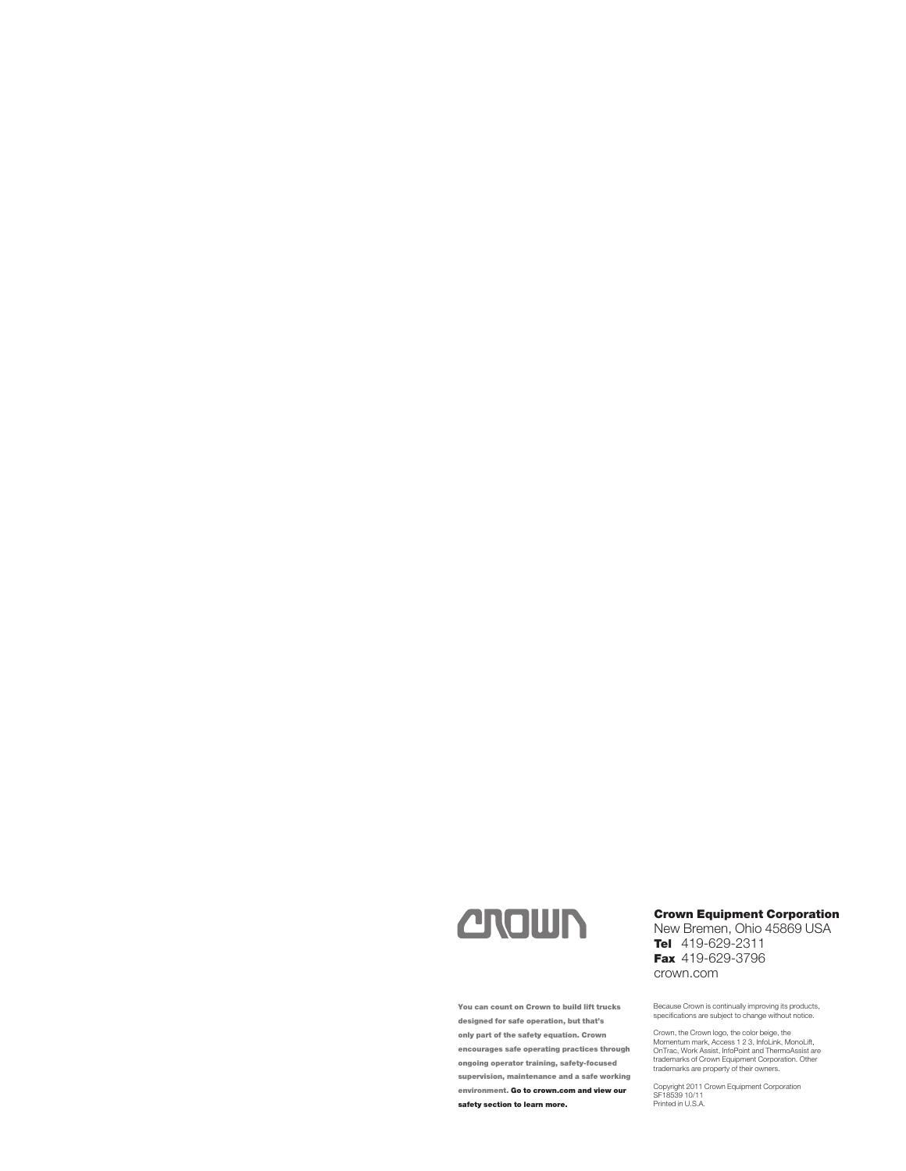# **CROWN**

You can count on Crown to build lift trucks designed for safe operation, but that's only part of the safety equation. Crown encourages safe operating practices through ongoing operator training, safety-focused supervision, maintenance and a safe working environment. Go to crown.com and view our safety section to learn more.

#### Crown Equipment Corporation

New Bremen, Ohio 45869 USA Tel 419-629-2311 Fax 419-629-3796 crown.com

Because Crown is continually improving its products, specifications are subject to change without notice.

Crown, the Crown logo, the color beige, the<br>Momentum mark, Access 1 2 3, InfoLink, MonoLift,<br>OnTrac, Work Assist, InfoPoint and ThermoAssist are<br>trademarks of Crown Equipment Corporation. Other<br>trademarks are property of t

Copyright 2011 Crown Equipment Corporation SF18539 10/11 Printed in U.S.A.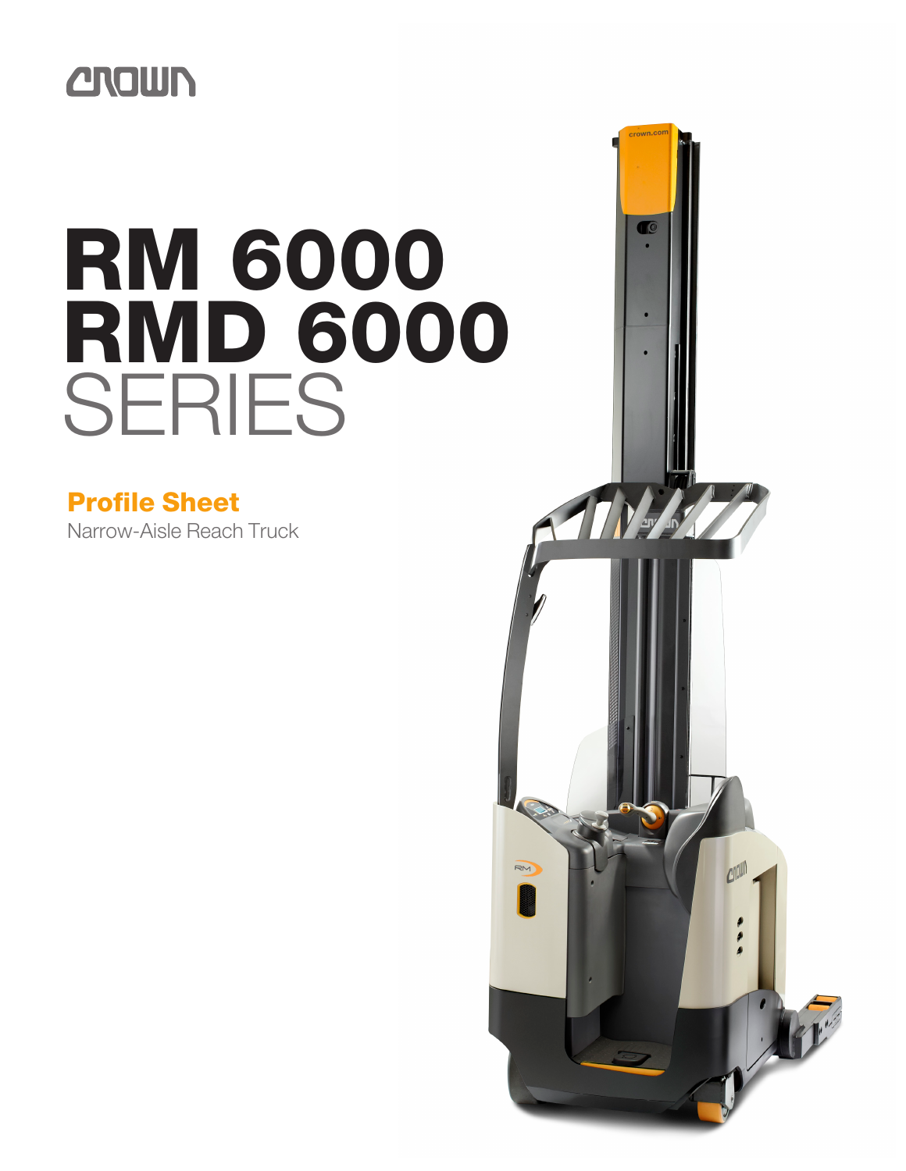# **CROWN**

# RM 6000 **RMD 6000** SERIES

## Profile Sheet

Narrow-Aisle Reach Truck

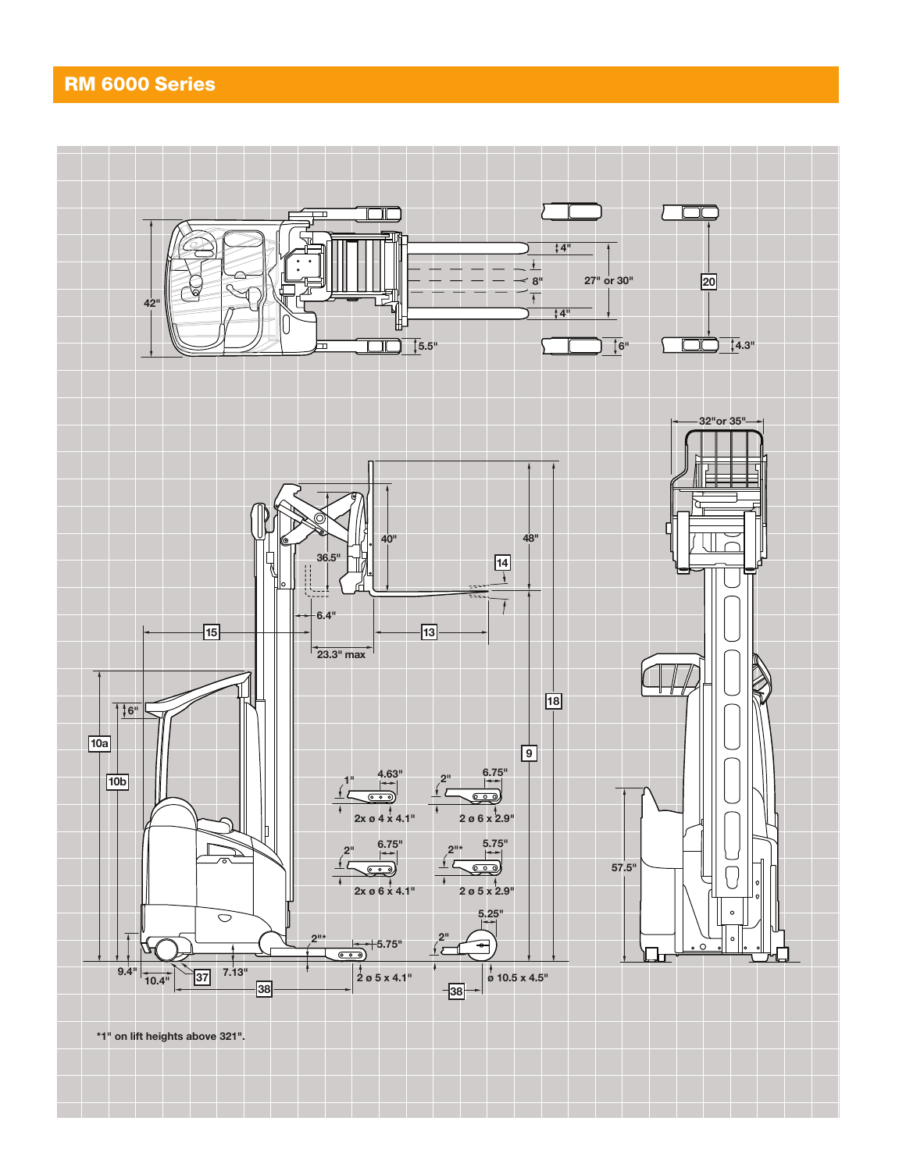## RM 6000 Series

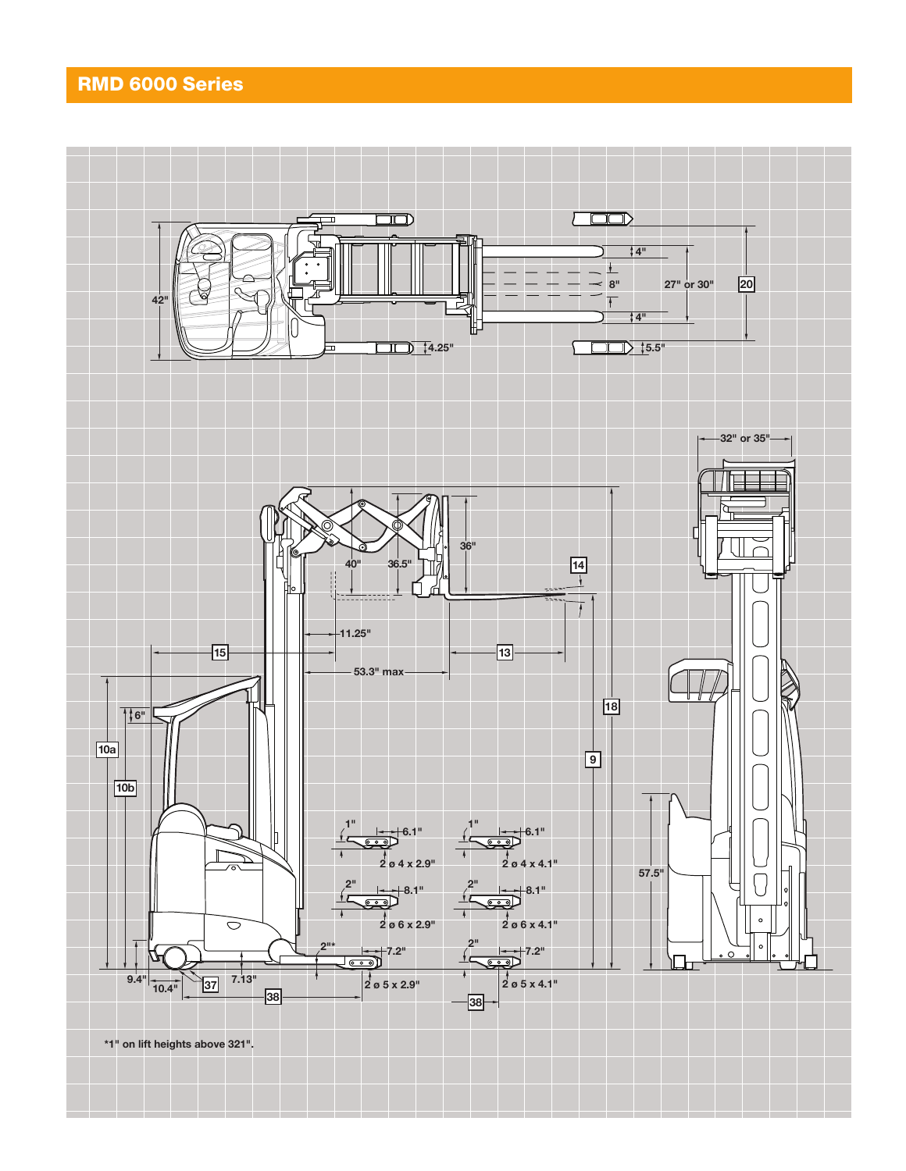### RMD 6000 Series

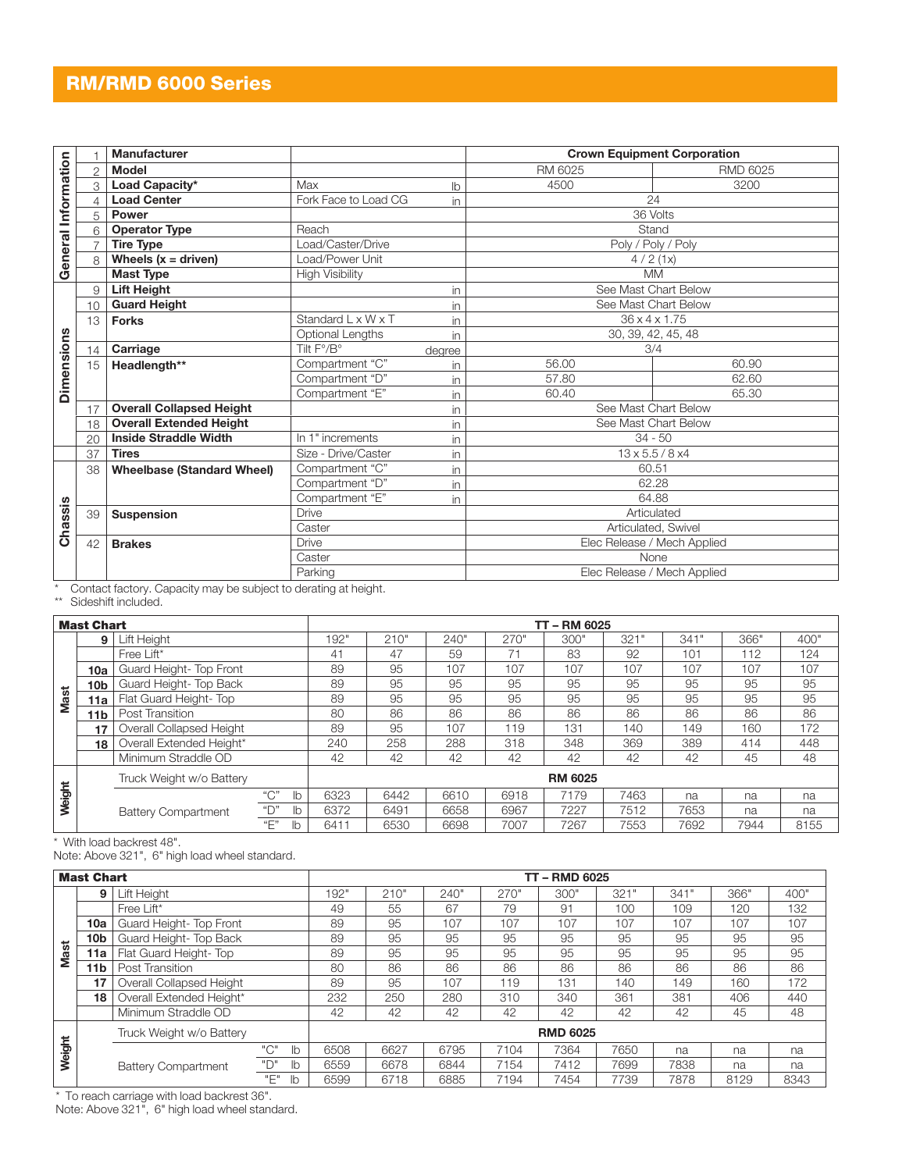### RM/RMD 6000 Series

|                     |    | <b>Manufacturer</b>                                             |                        | <b>Crown Equipment Corporation</b> |                              |                 |  |  |  |  |
|---------------------|----|-----------------------------------------------------------------|------------------------|------------------------------------|------------------------------|-----------------|--|--|--|--|
| General Information |    | <b>Model</b>                                                    |                        |                                    | RM 6025                      | <b>RMD 6025</b> |  |  |  |  |
|                     | 3  | Load Capacity*                                                  | Max                    | lb                                 | 4500                         | 3200            |  |  |  |  |
|                     |    | <b>Load Center</b>                                              | Fork Face to Load CG   | in                                 | 24                           |                 |  |  |  |  |
|                     | 5  | Power                                                           |                        |                                    | 36 Volts                     |                 |  |  |  |  |
|                     | 6  | <b>Operator Type</b>                                            | Reach                  |                                    | Stand                        |                 |  |  |  |  |
|                     |    | <b>Tire Type</b>                                                | Load/Caster/Drive      |                                    | Poly / Poly / Poly           |                 |  |  |  |  |
|                     | 8  | Wheels $(x =$ driven)                                           | Load/Power Unit        |                                    | 4/2(1x)                      |                 |  |  |  |  |
|                     |    | <b>Mast Type</b>                                                | <b>High Visibility</b> |                                    | <b>MM</b>                    |                 |  |  |  |  |
|                     | 9  | <b>Lift Height</b>                                              |                        | in                                 | See Mast Chart Below         |                 |  |  |  |  |
|                     | 10 | <b>Guard Height</b>                                             |                        | in                                 | See Mast Chart Below         |                 |  |  |  |  |
|                     | 13 | <b>Forks</b>                                                    | Standard L x W x T     | in                                 | $36 \times 4 \times 1.75$    |                 |  |  |  |  |
|                     |    |                                                                 | Optional Lengths       | in.                                | 30, 39, 42, 45, 48           |                 |  |  |  |  |
|                     | 14 | Carriage                                                        | Tilt F°/B°             | degree                             |                              | 3/4             |  |  |  |  |
|                     | 15 | Headlength**                                                    | Compartment "C"        | in                                 | 56.00                        | 60.90           |  |  |  |  |
| <b>Dimensions</b>   |    |                                                                 | Compartment "D"        | in                                 | 57.80                        | 62.60           |  |  |  |  |
|                     |    |                                                                 | Compartment "E"        | in                                 | 60.40                        | 65.30           |  |  |  |  |
|                     | 17 | <b>Overall Collapsed Height</b>                                 |                        | in                                 | See Mast Chart Below         |                 |  |  |  |  |
|                     | 18 | <b>Overall Extended Height</b>                                  |                        | in                                 | See Mast Chart Below         |                 |  |  |  |  |
|                     | 20 | <b>Inside Straddle Width</b>                                    | In 1" increments       | in                                 |                              | $34 - 50$       |  |  |  |  |
|                     | 37 | <b>Tires</b>                                                    | Size - Drive/Caster    | in                                 | $13 \times 5.5 / 8 \times 4$ |                 |  |  |  |  |
|                     | 38 | <b>Wheelbase (Standard Wheel)</b>                               | Compartment "C"        | in                                 | 60.51                        |                 |  |  |  |  |
|                     |    |                                                                 | Compartment "D"        | in                                 | 62.28                        |                 |  |  |  |  |
|                     |    |                                                                 | Compartment "E"        | in                                 | 64.88                        |                 |  |  |  |  |
| Chassis             | 39 | <b>Suspension</b>                                               | <b>Drive</b>           |                                    | Articulated                  |                 |  |  |  |  |
|                     |    |                                                                 | Caster                 |                                    | Articulated, Swivel          |                 |  |  |  |  |
|                     | 42 | <b>Brakes</b>                                                   | <b>Drive</b>           |                                    | Elec Release / Mech Applied  |                 |  |  |  |  |
|                     |    |                                                                 | Caster                 |                                    | None                         |                 |  |  |  |  |
|                     |    |                                                                 | Parking                |                                    | Elec Release / Mech Applied  |                 |  |  |  |  |
|                     |    | Contact factory. Capacity may be subject to derating at height. |                        |                                    |                              |                 |  |  |  |  |
|                     |    | Sideshift included.                                             |                        |                                    |                              |                 |  |  |  |  |

\* Contact factory. Capacity may be subject to derating at height.<br>\*\* Sideshift included.

| <b>Mast Chart</b> |     |                            |         |    | TT-RM 6025     |      |      |      |      |      |      |      |      |  |
|-------------------|-----|----------------------------|---------|----|----------------|------|------|------|------|------|------|------|------|--|
|                   | 9   | Lift Height                |         |    | 192"           | 210" | 240" | 270" | 300" | 321" | 341  | 366" | 400" |  |
|                   |     | Free Lift*                 |         |    | 41             | 47   | 59   | 71   | 83   | 92   | 101  | 112  | 124  |  |
|                   | 10a | Guard Height- Top Front    |         |    | 89             | 95   | 107  | 107  | 107  | 107  | 107  | 107  | 107  |  |
|                   | 10b | Guard Height- Top Back     |         |    | 89             | 95   | 95   | 95   | 95   | 95   | 95   | 95   | 95   |  |
| <b>Mast</b>       | 11a | Flat Guard Height-Top      |         |    | 89             | 95   | 95   | 95   | 95   | 95   | 95   | 95   | 95   |  |
|                   | 11b | Post Transition            |         |    | 80             | 86   | 86   | 86   | 86   | 86   | 86   | 86   | 86   |  |
|                   | 17  | Overall Collapsed Height   |         |    | 89             | 95   | 107  | 119  | 131  | 140  | 149  | 160  | 172  |  |
|                   | 18  | Overall Extended Height*   |         |    | 240            | 258  | 288  | 318  | 348  | 369  | 389  | 414  | 448  |  |
|                   |     | Minimum Straddle OD        |         |    | 42             | 42   | 42   | 42   | 42   | 42   | 42   | 45   | 48   |  |
|                   |     | Truck Weight w/o Battery   |         |    | <b>RM 6025</b> |      |      |      |      |      |      |      |      |  |
| Weight            |     |                            | " $C$ " | lb | 6323           | 6442 | 6610 | 6918 | 7179 | 7463 | na   | na   | na   |  |
|                   |     | <b>Battery Compartment</b> | "D"     | lb | 6372           | 6491 | 6658 | 6967 | 7227 | 7512 | 7653 | na   | na   |  |
|                   |     |                            | "F"     | lb | 6411           | 6530 | 6698 | 7007 | 7267 | 7553 | 7692 | 7944 | 8155 |  |

\* With load backrest 48".

Note: Above 321", 6" high load wheel standard.

| <b>Mast Chart</b> |     |                            |     |              | <b>TT-RMD 6025</b> |      |      |      |      |      |      |      |      |  |
|-------------------|-----|----------------------------|-----|--------------|--------------------|------|------|------|------|------|------|------|------|--|
|                   | 9   | Lift Height                |     |              | 192"               | 210" | 240" | 270" | 300" | 321" | 341" | 366" | 400" |  |
|                   |     | Free Lift*                 |     |              | 49                 | 55   | 67   | 79   | 91   | 100  | 109  | 120  | 132  |  |
|                   | 10a | Guard Height-Top Front     |     |              | 89                 | 95   | 107  | 107  | 107  | 107  | 107  | 107  | 107  |  |
|                   | 10b | Guard Height- Top Back     |     |              | 89                 | 95   | 95   | 95   | 95   | 95   | 95   | 95   | 95   |  |
| Mast              | 11a | Flat Guard Height- Top     |     |              | 89                 | 95   | 95   | 95   | 95   | 95   | 95   | 95   | 95   |  |
|                   | 11b | Post Transition            |     |              | 80                 | 86   | 86   | 86   | 86   | 86   | 86   | 86   | 86   |  |
|                   | 17  | Overall Collapsed Height   |     |              | 89                 | 95   | 107  | 119  | 131  | 140  | 149  | 160  | 172  |  |
|                   | 18  | Overall Extended Height*   |     |              | 232                | 250  | 280  | 310  | 340  | 361  | 381  | 406  | 440  |  |
|                   |     | Minimum Straddle OD        |     |              | 42                 | 42   | 42   | 42   | 42   | 42   | 42   | 45   | 48   |  |
|                   |     | Truck Weight w/o Battery   |     |              | <b>RMD 6025</b>    |      |      |      |      |      |      |      |      |  |
| Weight            |     |                            | "C" | $\mathbb{I}$ | 6508               | 6627 | 6795 | 7104 | 7364 | 7650 | na   | na   | na   |  |
|                   |     | <b>Battery Compartment</b> |     | lb           | 6559               | 6678 | 6844 | 7154 | 7412 | 7699 | 7838 | na   | na   |  |
|                   |     |                            | "Е" | lb           | 6599               | 6718 | 6885 | 7194 | 7454 | 7739 | 7878 | 8129 | 8343 |  |

\* To reach carriage with load backrest 36".

Note: Above 321", 6" high load wheel standard.